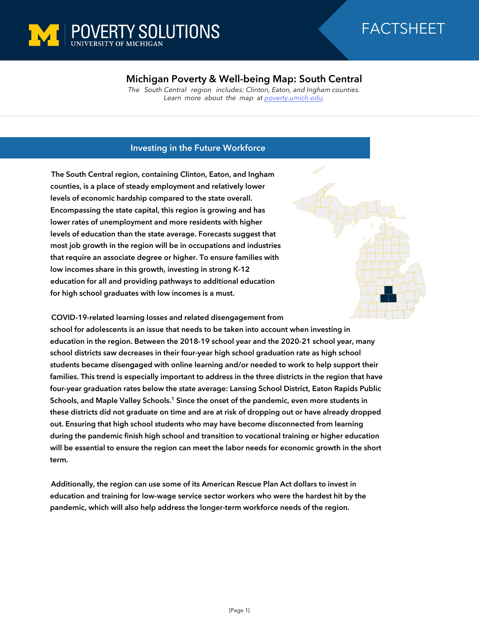

## **Michigan Poverty & Well-being Map: South Central**

*The South Central region includes: Clinton, Eaton, and Ingham counties. Learn more about the map at [poverty.umich.edu](https://poverty.umich.edu/research-funding-opportunities/data-tools/michigan-poverty-well-being-map/).*

## **Investing in the Future Workforce**

**The South Central region, containing Clinton, Eaton, and Ingham counties, is a place of steady employment and relatively lower levels of economic hardship compared to the state overall. Encompassing the state capital, this region is growing and has lower rates of unemployment and more residents with higher levels of education than the state average. Forecasts suggest that most job growth in the region will be in occupations and industries that require an associate degree or higher. To ensure families with low incomes share in this growth, investing in strong K-12 education for all and providing pathways to additional education for high school graduates with low incomes is a must.** 

**COVID-19-related learning losses and related disengagement from**

**school for adolescents is an issue that needs to be taken into account when investing in education in the region. Between the 2018-19 school year and the 2020-21 school year, many school districts saw decreases in their four-year high school graduation rate as high school students became disengaged with online learning and/or needed to work to help support their families. This trend is especially important to address in the three districts in the region that have four-year graduation rates below the state average: Lansing School District, Eaton Rapids Public Schools, and Maple Valley Schools. <sup>1</sup> Since the onset of the pandemic, even more students in these districts did not graduate on time and are at risk of dropping out or have already dropped out. Ensuring that high school students who may have become disconnected from learning during the pandemic finish high school and transition to vocational training or higher education will be essential to ensure the region can meet the labor needs for economic growth in the short term.**

**Additionally, the region can use some of its American Rescue Plan Act dollars to invest in education and training for low-wage service sector workers who were the hardest hit by the pandemic, which will also help address the longer-term workforce needs of the region.**